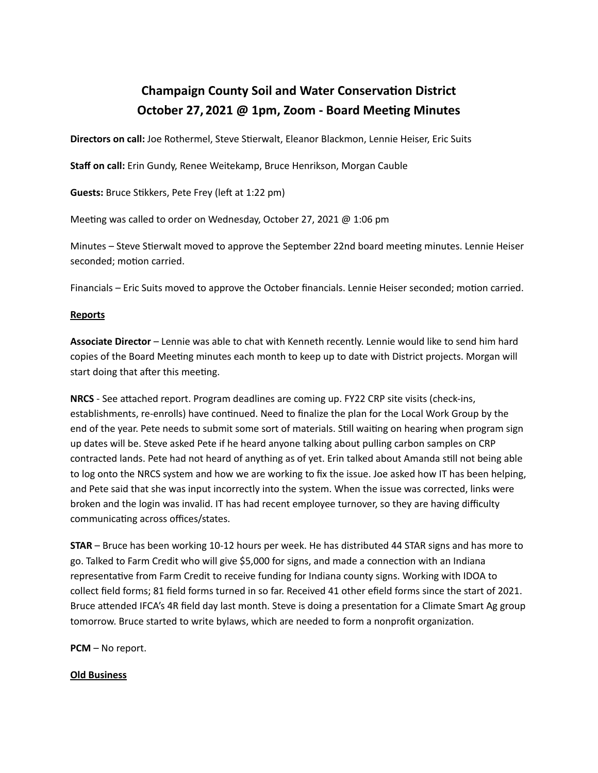## **Champaign County Soil and Water Conservation District October 27, 2021 @ 1pm, Zoom - Board Meeng Minutes**

**Directors on call:** Joe Rothermel, Steve Stierwalt, Eleanor Blackmon, Lennie Heiser, Eric Suits

**Staff on call:** Erin Gundy, Renee Weitekamp, Bruce Henrikson, Morgan Cauble

**Guests:** Bruce Stikkers, Pete Frey (left at 1:22 pm)

Meeting was called to order on Wednesday, October 27, 2021  $@$  1:06 pm

Minutes – Steve Stierwalt moved to approve the September 22nd board meeting minutes. Lennie Heiser seconded; motion carried.

Financials – Eric Suits moved to approve the October financials. Lennie Heiser seconded; motion carried.

## **Reports**

**Associate Director** – Lennie was able to chat with Kenneth recently. Lennie would like to send him hard copies of the Board Meeting minutes each month to keep up to date with District projects. Morgan will start doing that after this meeting.

**NRCS** - See attached report. Program deadlines are coming up. FY22 CRP site visits (check-ins, establishments, re-enrolls) have continued. Need to finalize the plan for the Local Work Group by the end of the year. Pete needs to submit some sort of materials. Still waiting on hearing when program sign up dates will be. Steve asked Pete if he heard anyone talking about pulling carbon samples on CRP contracted lands. Pete had not heard of anything as of yet. Erin talked about Amanda still not being able to log onto the NRCS system and how we are working to fix the issue. Joe asked how IT has been helping, and Pete said that she was input incorrectly into the system. When the issue was corrected, links were broken and the login was invalid. IT has had recent employee turnover, so they are having difficulty communicating across offices/states.

**STAR** – Bruce has been working 10-12 hours per week. He has distributed 44 STAR signs and has more to go. Talked to Farm Credit who will give \$5,000 for signs, and made a connection with an Indiana representative from Farm Credit to receive funding for Indiana county signs. Working with IDOA to collect field forms; 81 field forms turned in so far. Received 41 other efield forms since the start of 2021. Bruce attended IFCA's 4R field day last month. Steve is doing a presentation for a Climate Smart Ag group tomorrow. Bruce started to write bylaws, which are needed to form a nonprofit organization.

**PCM** – No report.

**Old Business**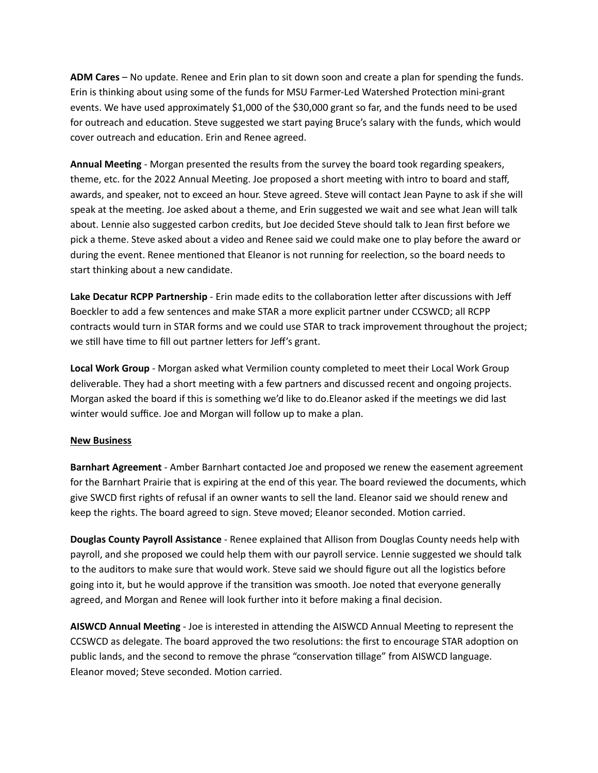**ADM Cares** – No update. Renee and Erin plan to sit down soon and create a plan for spending the funds. Erin is thinking about using some of the funds for MSU Farmer-Led Watershed Protection mini-grant events. We have used approximately \$1,000 of the \$30,000 grant so far, and the funds need to be used for outreach and education. Steve suggested we start paying Bruce's salary with the funds, which would cover outreach and education. Erin and Renee agreed.

**Annual Meeting** - Morgan presented the results from the survey the board took regarding speakers, theme, etc. for the 2022 Annual Meeting. Joe proposed a short meeting with intro to board and staff, awards, and speaker, not to exceed an hour. Steve agreed. Steve will contact Jean Payne to ask if she will speak at the meeting. Joe asked about a theme, and Erin suggested we wait and see what Jean will talk about. Lennie also suggested carbon credits, but Joe decided Steve should talk to Jean first before we pick a theme. Steve asked about a video and Renee said we could make one to play before the award or during the event. Renee mentioned that Eleanor is not running for reelection, so the board needs to start thinking about a new candidate.

Lake Decatur RCPP Partnership - Erin made edits to the collaboration letter after discussions with Jeff Boeckler to add a few sentences and make STAR a more explicit partner under CCSWCD; all RCPP contracts would turn in STAR forms and we could use STAR to track improvement throughout the project; we still have time to fill out partner letters for Jeff's grant.

**Local Work Group** - Morgan asked what Vermilion county completed to meet their Local Work Group deliverable. They had a short meeting with a few partners and discussed recent and ongoing projects. Morgan asked the board if this is something we'd like to do. Eleanor asked if the meetings we did last winter would suffice. Joe and Morgan will follow up to make a plan.

## **New Business**

**Barnhart Agreement** - Amber Barnhart contacted Joe and proposed we renew the easement agreement for the Barnhart Prairie that is expiring at the end of this year. The board reviewed the documents, which give SWCD first rights of refusal if an owner wants to sell the land. Eleanor said we should renew and keep the rights. The board agreed to sign. Steve moved; Eleanor seconded. Motion carried.

**Douglas County Payroll Assistance** - Renee explained that Allison from Douglas County needs help with payroll, and she proposed we could help them with our payroll service. Lennie suggested we should talk to the auditors to make sure that would work. Steve said we should figure out all the logistics before going into it, but he would approve if the transition was smooth. Joe noted that everyone generally agreed, and Morgan and Renee will look further into it before making a final decision.

AISWCD Annual Meeting - Joe is interested in attending the AISWCD Annual Meeting to represent the CCSWCD as delegate. The board approved the two resolutions: the first to encourage STAR adoption on public lands, and the second to remove the phrase "conservation tillage" from AISWCD language. Eleanor moved; Steve seconded. Motion carried.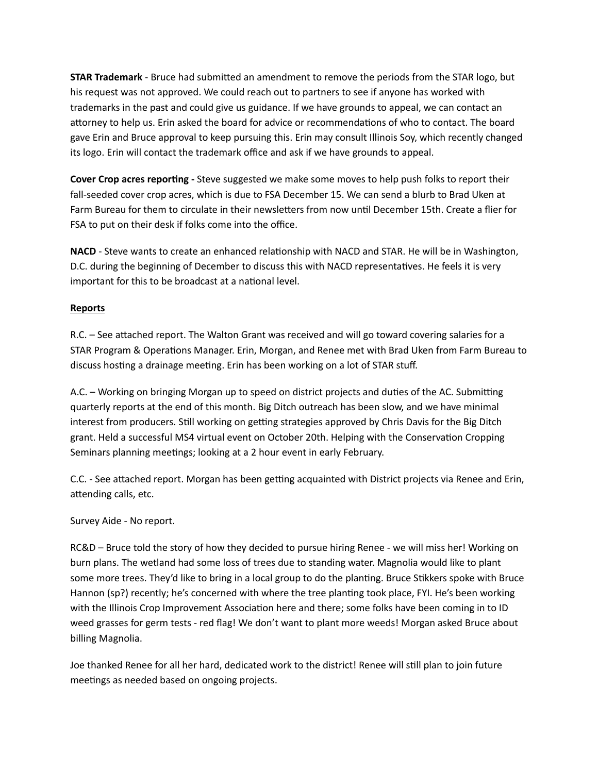**STAR Trademark** - Bruce had submitted an amendment to remove the periods from the STAR logo, but his request was not approved. We could reach out to partners to see if anyone has worked with trademarks in the past and could give us guidance. If we have grounds to appeal, we can contact an attorney to help us. Erin asked the board for advice or recommendations of who to contact. The board gave Erin and Bruce approval to keep pursuing this. Erin may consult Illinois Soy, which recently changed its logo. Erin will contact the trademark office and ask if we have grounds to appeal.

**Cover Crop acres reporting -** Steve suggested we make some moves to help push folks to report their fall-seeded cover crop acres, which is due to FSA December 15. We can send a blurb to Brad Uken at Farm Bureau for them to circulate in their newsletters from now until December 15th. Create a flier for FSA to put on their desk if folks come into the office.

NACD - Steve wants to create an enhanced relationship with NACD and STAR. He will be in Washington, D.C. during the beginning of December to discuss this with NACD representatives. He feels it is very important for this to be broadcast at a national level.

## **Reports**

R.C. – See attached report. The Walton Grant was received and will go toward covering salaries for a STAR Program & Operations Manager. Erin, Morgan, and Renee met with Brad Uken from Farm Bureau to discuss hosting a drainage meeting. Erin has been working on a lot of STAR stuff.

A.C. – Working on bringing Morgan up to speed on district projects and duties of the AC. Submitting quarterly reports at the end of this month. Big Ditch outreach has been slow, and we have minimal interest from producers. Still working on getting strategies approved by Chris Davis for the Big Ditch grant. Held a successful MS4 virtual event on October 20th. Helping with the Conservation Cropping Seminars planning meetings; looking at a 2 hour event in early February.

C.C. - See attached report. Morgan has been getting acquainted with District projects via Renee and Erin, attending calls, etc.

Survey Aide - No report.

RC&D – Bruce told the story of how they decided to pursue hiring Renee - we will miss her! Working on burn plans. The wetland had some loss of trees due to standing water. Magnolia would like to plant some more trees. They'd like to bring in a local group to do the planting. Bruce Stikkers spoke with Bruce Hannon (sp?) recently; he's concerned with where the tree planting took place, FYI. He's been working with the Illinois Crop Improvement Association here and there; some folks have been coming in to ID weed grasses for germ tests - red flag! We don't want to plant more weeds! Morgan asked Bruce about billing Magnolia.

Joe thanked Renee for all her hard, dedicated work to the district! Renee will still plan to join future meetings as needed based on ongoing projects.